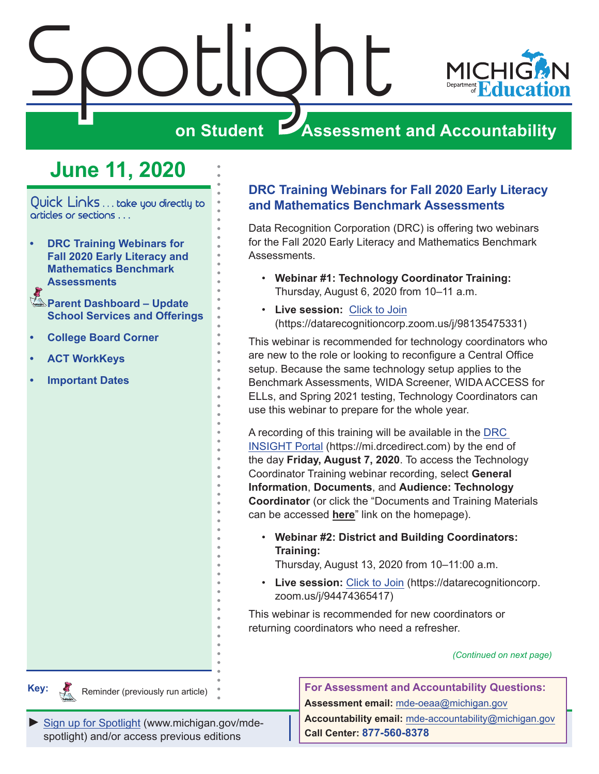<span id="page-0-0"></span>

## **June 11, 2020**

Quick Links . . . take you directly to articles or sections . . .

- **• DRC Training Webinars for Fall 2020 Early Literacy and Mathematics Benchmark Assessments**
- **Parent Dashboard Update [School Services and Offerings](#page-1-0)**
- **• [College Board Corner](#page-2-0)**
- **• [ACT WorkKeys](#page-3-0)**
- **• [Important Dates](#page-5-0)**

### **DRC Training Webinars for Fall 2020 Early Literacy and Mathematics Benchmark Assessments**

Data Recognition Corporation (DRC) is offering two webinars for the Fall 2020 Early Literacy and Mathematics Benchmark Assessments.

- **Webinar #1: Technology Coordinator Training:** Thursday, August 6, 2020 from 10–11 a.m.
- **Live session:** [Click to Join](https://datarecognitioncorp.zoom.us/j/98135475331) (https://datarecognitioncorp.zoom.us/j/98135475331)

This webinar is recommended for technology coordinators who are new to the role or looking to reconfigure a Central Office setup. Because the same technology setup applies to the Benchmark Assessments, WIDA Screener, WIDA ACCESS for ELLs, and Spring 2021 testing, Technology Coordinators can use this webinar to prepare for the whole year.

A recording of this training will be available in the [DRC](https://mi.drcedirect.com)  [INSIGHT Portal](https://mi.drcedirect.com) (https://mi.drcedirect.com) by the end of the day **Friday, August 7, 2020**. To access the Technology Coordinator Training webinar recording, select **General Information**, **Documents**, and **Audience: Technology Coordinator** (or click the "Documents and Training Materials can be accessed **here**" link on the homepage).

• **Webinar #2: District and Building Coordinators: Training:**

Thursday, August 13, 2020 from 10–11:00 a.m.

• **Live session:** [Click to Join](https://datarecognitioncorp.zoom.us/j/94474365417) (https://datarecognitioncorp. zoom.us/j/94474365417)

This webinar is recommended for new coordinators or returning coordinators who need a refresher.

*(Continued on next page)*

**Key:**

**Remindere** 

Reminder (previously run article)

*►* [Sign up for Spotlight](https://public.govdelivery.com/accounts/MIMDE/subscriber/new) [\(www.michigan.gov/mde](www.michigan.gov/mde-spotlight)spotlight) and/or access previous editions

**For Assessment and Accountability Questions: Assessment email:** mde-oeaa[@michigan.gov](mailto:mde-oeaa%40michigan.gov?subject=assessment%20question) **Accountability email:** mde[-accountability@michigan.gov](mailto:MDE-Accountability%40michigan.gov?subject=Accountability%20question) **Call Center: 877-560-8378**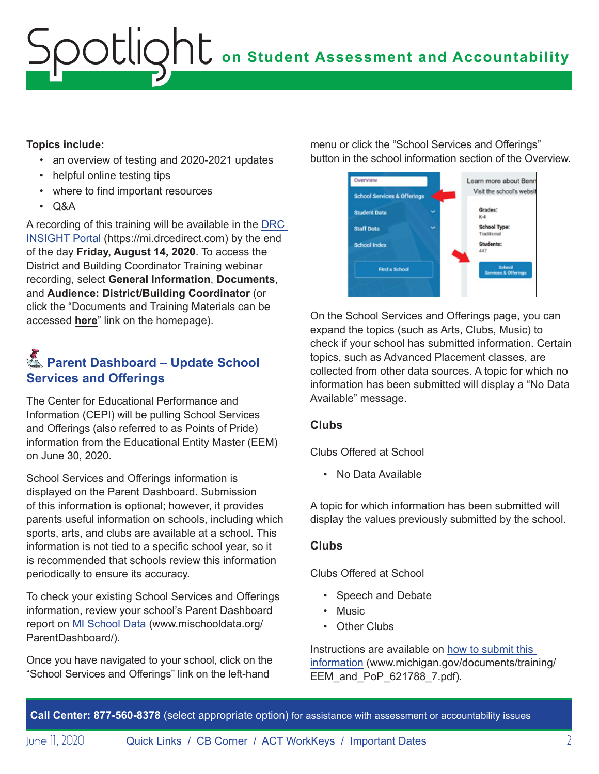# <span id="page-1-0"></span>**on Student Assessment and Accountability** Spotlight

### **Topics include:**

- an overview of testing and 2020-2021 updates
- helpful online testing tips
- where to find important resources
- Q&A

A recording of this training will be available in the [DRC](https://mi.drcedirect.com)  [INSIGHT Portal](https://mi.drcedirect.com) (https://mi.drcedirect.com) by the end of the day **Friday, August 14, 2020**. To access the District and Building Coordinator Training webinar recording, select **General Information**, **Documents**, and **Audience: District/Building Coordinator** (or click the "Documents and Training Materials can be accessed **here**" link on the homepage).

### **Externe Dashboard – Update School Services and Offerings**

The Center for Educational Performance and Information (CEPI) will be pulling School Services and Offerings (also referred to as Points of Pride) information from the Educational Entity Master (EEM) on June 30, 2020.

School Services and Offerings information is displayed on the Parent Dashboard. Submission of this information is optional; however, it provides parents useful information on schools, including which sports, arts, and clubs are available at a school. This information is not tied to a specific school year, so it is recommended that schools review this information periodically to ensure its accuracy.

To check your existing School Services and Offerings information, review your school's Parent Dashboard report on [MI School Data](http://www.mischooldata.org/ParentDashboard/) (www.mischooldata.org/ ParentDashboard/).

Once you have navigated to your school, click on the "School Services and Offerings" link on the left-hand

menu or click the "School Services and Offerings" button in the school information section of the Overview.



On the School Services and Offerings page, you can expand the topics (such as Arts, Clubs, Music) to check if your school has submitted information. Certain topics, such as Advanced Placement classes, are collected from other data sources. A topic for which no information has been submitted will display a "No Data Available" message.

### **Clubs**

Clubs Offered at School

• No Data Available

A topic for which information has been submitted will display the values previously submitted by the school.

### **Clubs**

Clubs Offered at School

- Speech and Debate
- Music
- Other Clubs

Instructions are available on [how to submit this](https://www.michigan.gov/documents/training/EEM_and_PoP_621788_7.pdf)  [information](https://www.michigan.gov/documents/training/EEM_and_PoP_621788_7.pdf) (www.michigan.gov/documents/training/ EEM\_and\_PoP\_621788\_7.pdf).

**Call Center: 877-560-8378** (select appropriate option) for assistance with assessment or accountability issues

June II, 2020 **[Quick Links](#page-0-0) / [CB Corner](#page-2-1) / [ACT WorkKeys](#page-3-1) / [Important Dates](#page-5-1)** 2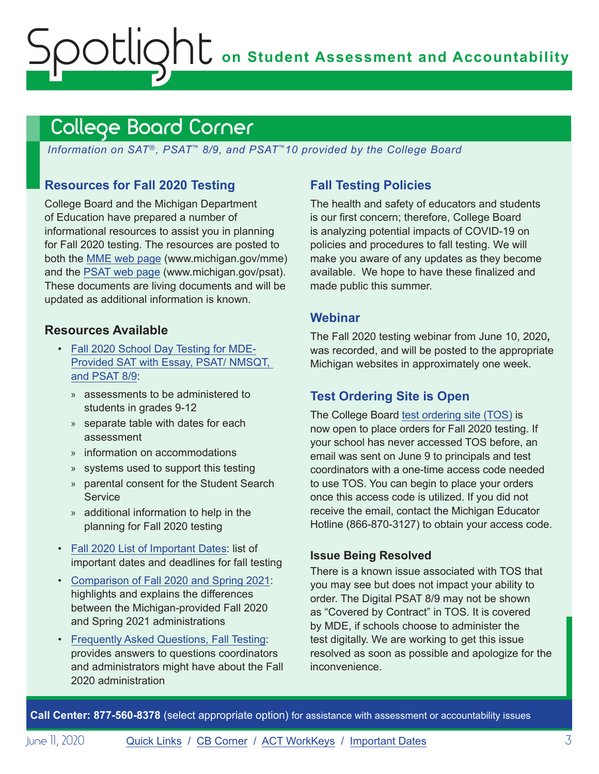# <span id="page-2-0"></span>**on Student Assessment and Accountability** ootlic

## <span id="page-2-1"></span>College Board Corner

*Information on SAT*®*, PSAT*™ *8/9, and PSAT*™*10 provided by the College Board*

### **Resources for Fall 2020 Testing**

College Board and the Michigan Department of Education have prepared a number of informational resources to assist you in planning for Fall 2020 testing. The resources are posted to both the [MME web page](www.michigan.gov/mme) (www.michigan.gov/mme) and the [PSAT web page](http://www.michigan.gov/psat) (www.michigan.gov/psat). These documents are living documents and will be updated as additional information is known.

### **Resources Available**

- [Fall 2020 School Day Testing for MDE-](https://www.michigan.gov/documents/mde/Fall_2020_School_Day_Testing_for_MDE_Provided_Assessments_690609_7.pdf)[Provided SAT with Essay, PSAT/ NMSQT,](https://www.michigan.gov/documents/mde/Fall_2020_School_Day_Testing_for_MDE_Provided_Assessments_690609_7.pdf)  [and PSAT 8/9](https://www.michigan.gov/documents/mde/Fall_2020_School_Day_Testing_for_MDE_Provided_Assessments_690609_7.pdf):
	- » assessments to be administered to students in grades 9-12
	- » separate table with dates for each assessment
	- » information on accommodations
	- » systems used to support this testing
	- » parental consent for the Student Search **Service**
	- » additional information to help in the planning for Fall 2020 testing
- [Fall 2020 List of Important Dates:](https://www.michigan.gov/documents/mde/Fall_2020_List_of_Important_Dates_689777_7.pdf) list of important dates and deadlines for fall testing
- [Comparison of Fall 2020 and Spring 2021](https://www.michigan.gov/documents/mde/Michigan_Fall_vs_Spring_ADA_691944_7.pdf): highlights and explains the differences between the Michigan-provided Fall 2020 and Spring 2021 administrations
- [Frequently Asked Questions, Fall Testing:](https://nam04.safelinks.protection.outlook.com/?url=https%3A%2F%2Fwww.michigan.gov%2Fdocuments%2Fmde%2FMichigan_FAQs_ADA_691945_7.pdf&data=02%7C01%7Csthaler%40collegeboard.org%7Ce133257eede44e82cd5e08d80261521b%7C7530bdedfd6e4f58b5d2ea681eb07663%7C0%7C1%7C637261964308033767&sdata=DupAclI5ZwRkaelQMf5Q6DrAsM6Y9qjfhoOd6F%2FegKg%3D&reserved=0) provides answers to questions coordinators and administrators might have about the Fall 2020 administration

### **Fall Testing Policies**

The health and safety of educators and students is our first concern; therefore, College Board is analyzing potential impacts of COVID-19 on policies and procedures to fall testing. We will make you aware of any updates as they become available. We hope to have these finalized and made public this summer.

### **Webinar**

The Fall 2020 testing webinar from June 10, 2020**,**  was recorded, and will be posted to the appropriate Michigan websites in approximately one week.

### **Test Ordering Site is Open**

The College Board [test ordering site \(TOS\)](https://professionals.collegeboard.org/test-ordering-services) is now open to place orders for Fall 2020 testing. If your school has never accessed TOS before, an email was sent on June 9 to principals and test coordinators with a one-time access code needed to use TOS. You can begin to place your orders once this access code is utilized. If you did not receive the email, contact the Michigan Educator Hotline (866-870-3127) to obtain your access code.

### **Issue Being Resolved**

There is a known issue associated with TOS that you may see but does not impact your ability to order. The Digital PSAT 8/9 may not be shown as "Covered by Contract" in TOS. It is covered by MDE, if schools choose to administer the test digitally. We are working to get this issue resolved as soon as possible and apologize for the inconvenience.

**Call Center: 877-560-8378** (select appropriate option) for assistance with assessment or accountability issues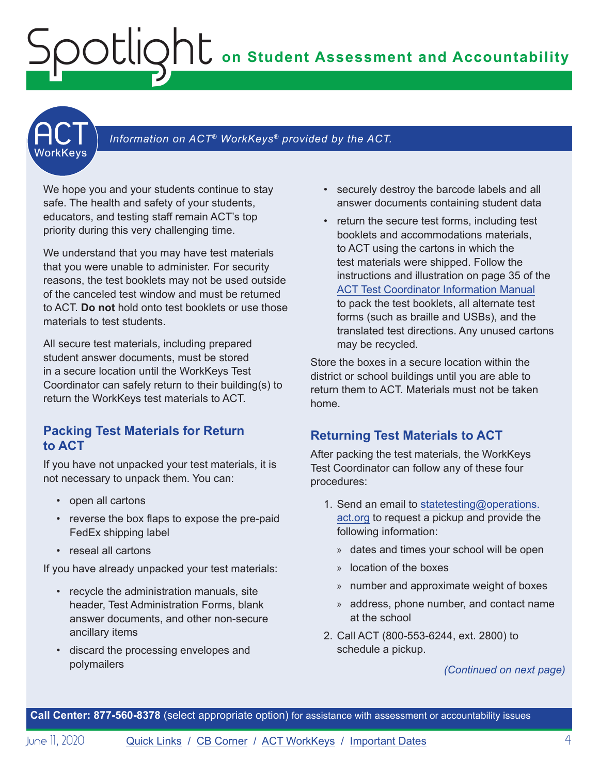# <span id="page-3-0"></span>**on Student Assessment and Accountability** Spotlight

<span id="page-3-1"></span>

### Information on ACT<sup>®</sup> WorkKeys<sup>®</sup> provided by the ACT.

We hope you and your students continue to stay safe. The health and safety of your students, educators, and testing staff remain ACT's top priority during this very challenging time.

We understand that you may have test materials that you were unable to administer. For security reasons, the test booklets may not be used outside of the canceled test window and must be returned to ACT. **Do not** hold onto test booklets or use those materials to test students.

All secure test materials, including prepared student answer documents, must be stored in a secure location until the WorkKeys Test Coordinator can safely return to their building(s) to return the WorkKeys test materials to ACT.

### **Packing Test Materials for Return to ACT**

If you have not unpacked your test materials, it is not necessary to unpack them. You can:

- open all cartons
- reverse the box flaps to expose the pre-paid FedEx shipping label
- reseal all cartons

If you have already unpacked your test materials:

- recycle the administration manuals, site header, Test Administration Forms, blank answer documents, and other non-secure ancillary items
- discard the processing envelopes and polymailers
- securely destroy the barcode labels and all answer documents containing student data
- return the secure test forms, including test booklets and accommodations materials, to ACT using the cartons in which the test materials were shipped. Follow the instructions and illustration on page 35 of the [ACT Test Coordinator Information Manual](https://www.act.org/content/dam/act/secured/documents/pdfs/state-district-test-coordinator-paper-test.pdf) to pack the test booklets, all alternate test forms (such as braille and USBs), and the translated test directions. Any unused cartons may be recycled.

Store the boxes in a secure location within the district or school buildings until you are able to return them to ACT. Materials must not be taken home.

### **Returning Test Materials to ACT**

After packing the test materials, the WorkKeys Test Coordinator can follow any of these four procedures:

- 1. Send an email to [statetesting@operations.](mailto:statetesting%40operations.act.org?subject=) [act.org](mailto:statetesting%40operations.act.org?subject=) to request a pickup and provide the following information:
	- » dates and times your school will be open
	- » location of the boxes
	- » number and approximate weight of boxes
	- » address, phone number, and contact name at the school
- 2. Call ACT (800-553-6244, ext. 2800) to schedule a pickup.

### *(Continued on next page)*

**Call Center: 877-560-8378** (select appropriate option) for assistance with assessment or accountability issues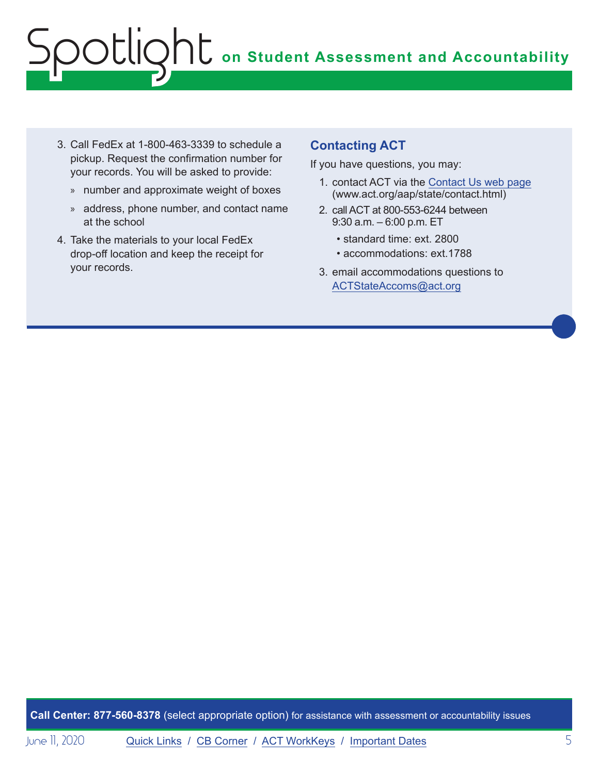# **on Student Assessment and Accountability** Spotlight

- 3. Call FedEx at 1-800-463-3339 to schedule a pickup. Request the confirmation number for your records. You will be asked to provide:
	- » number and approximate weight of boxes
	- » address, phone number, and contact name at the school
- 4. Take the materials to your local FedEx drop-off location and keep the receipt for your records.

### **Contacting ACT**

If you have questions, you may:

- 1. contact ACT via the [Contact Us web page](http://www.act.org/aap/state/contact.html) [\(www.act.org/aap/state/contact.html\)](https://www.act.org/aap/state/contact.html)
- 2. call ACT at 800-553-6244 between 9:30 a.m. – 6:00 p.m. ET
	- standard time: ext. 2800
	- accommodations: ext.1788
- 3. email accommodations questions to [ACTStateAccoms@act.org](mailto:ACTStateAccoms%40act.org?subject=)

**Call Center: 877-560-8378** (select appropriate option) for assistance with assessment or accountability issues